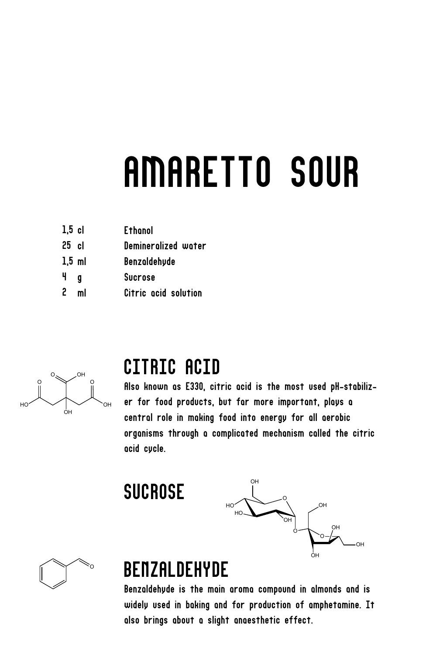# AMARETTO SOUR

- 1,5 cl Ethanol
- 25 cl Demineralized water
- 1,5 ml Benzaldehyde
- 4 Sucrose g
- 2 Citric acid solution ml



### CITRIC ACID

Also known as E330, citric acid is the most used pH-stabilizer for food products, but far more important, plays a central role in making food into energy for all aerobic organisms through a complicated mechanism called the citric acid cycle.

### SUCROSE





### **BENZALDEHYDE**

Benzaldehyde is the main aroma compound in almonds and is widely used in baking and for production of amphetamine. It also brings about a slight anaesthetic effect.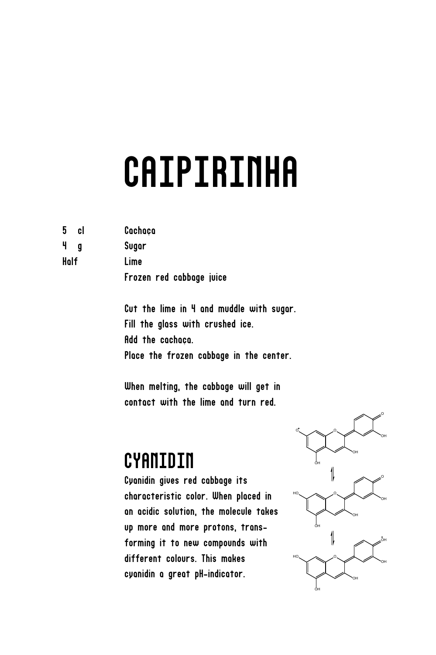## CAIPIRINHA

| 5<br>cl | Cachaça |
|---------|---------|
|---------|---------|

Sugar Lime

4 g

Half

Frozen red cabbage juice

Cut the lime in 4 and muddle with sugar. Fill the glass with crushed ice. Add the cochoco. Place the frozen cabbage in the center.

When melting, the cabbage will get in contact with the lime and turn red.

### **CYANIDIN**

Cyanidin gives red cabbage its characteristic color. When placed in an acidic solution, the molecule takes up more and more protons, transforming it to new compounds with different colours. This makes cyanidin a great pH-indicator.

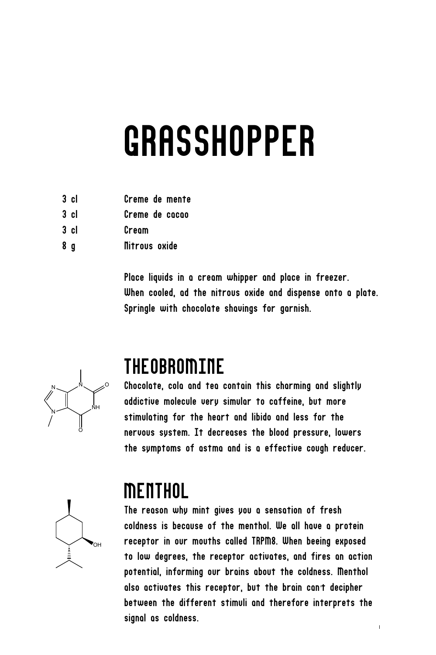### **GRASSHOPPER**

- $3$  cl Creme de mente
- 3 cl Creme de cacao
- 3 cl Cream
- g Nitrous oxide

Place liquids in a cream whipper and place in freezer. When cooled, ad the nitrous oxide and dispense onto a plate. Springle with chocolate shavings for garnish.



### THEOBROMINE

Chocolate, cola and tea contain this charming and slightly addictive molecule very simular to caffeine, but more stimulating for the heart and libido and less for the nervous system. It decreases the blood pressure, lowers the symptoms of astma and is a effective cough reducer.

# OH

### MENTHOL

The reason why mint gives you a sensation of fresh coldness is because of the menthol. We all have a protein receptor in our mouths called TRPM. When beeing exposed to low degrees, the receptor activates, and fires an action potential, informing our brains about the coldness. Menthol also activates this receptor, but the brain can't decipher between the different stimuli and therefore interprets the signal as coldness.

ï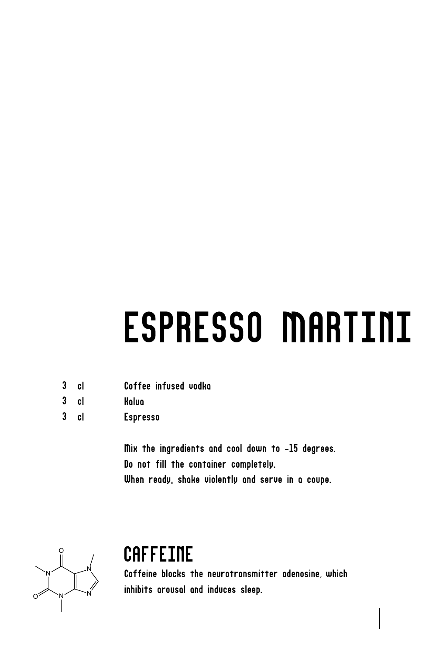# ESPRESSO MARTINI

- 3 cl Coffee infused vodka
- 3 cl Kalua
- 3 cl Espresso

Mix the ingredients and cool down to -15 degrees. Do not fill the container completely. When ready, shake violently and serve in a coupe.



### CAFFEINE

Caffeine blocks the neurotransmitter adenosine, which inhibits arousal and induces sleep.